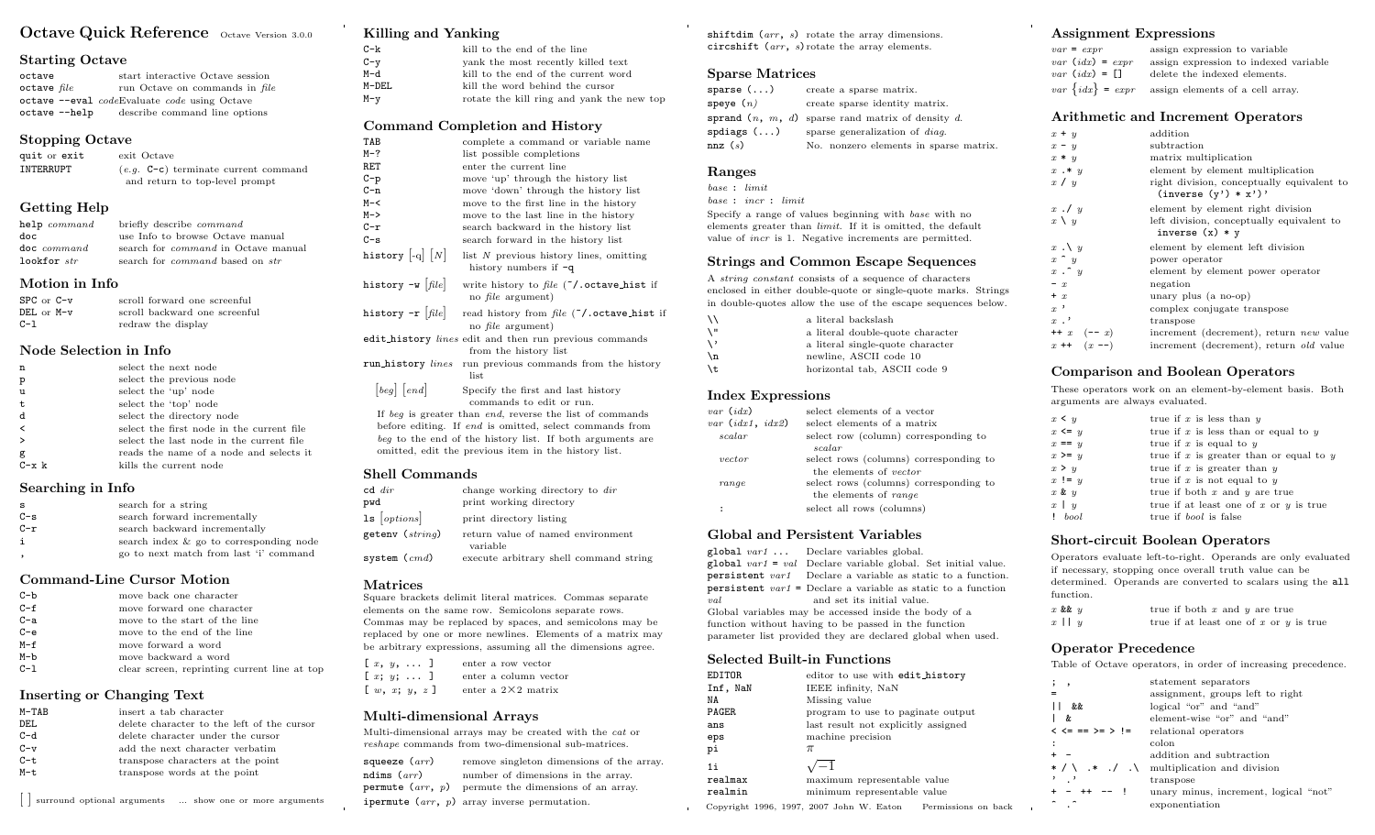# Octave Quick Reference Octave Version 3.0.0

#### Starting Octave

| octave          | start interactive Octave session             |
|-----------------|----------------------------------------------|
| $octave$ $file$ | run Octave on commands in file               |
|                 | octave --eval codeEvaluate code using Octave |
| octave --help   | describe command line options                |

#### Stopping Octave

| quit or exit<br>INTERRUPT | exit Octave<br>$(e.g. C-c)$ terminate current command<br>and return to top-level prompt |
|---------------------------|-----------------------------------------------------------------------------------------|
| <b>Getting Help</b>       |                                                                                         |
| help command              | briefly describe <i>command</i>                                                         |

| $\mathbf{u}$  | bricity describe community                    |
|---------------|-----------------------------------------------|
| doc           | use Info to browse Octave manual              |
| doc command   | search for <i>command</i> in Octave manual    |
| lookfor $str$ | search for <i>command</i> based on <i>str</i> |

#### Motion in Info

| $SPC$ or $C-v$ | scroll forward one screenful  |
|----------------|-------------------------------|
| DEL or M-v     | scroll backward one screenful |
| $C-1$          | redraw the display            |

## Node Selection in Info

| select the next node                      |
|-------------------------------------------|
| select the previous node                  |
| select the 'up' node                      |
| select the 'top' node                     |
| select the directory node                 |
| select the first node in the current file |
| select the last node in the current file  |
| reads the name of a node and selects it   |
| kills the current node                    |
|                                           |

## Searching in Info

| s     | search for a string                     |
|-------|-----------------------------------------|
| $C-S$ | search forward incrementally            |
| $C-r$ | search backward incrementally           |
| i.    | search index & go to corresponding node |
|       | go to next match from last 'i' command  |

## Command-Line Cursor Motion

| clear screen, reprinting current line at top |
|----------------------------------------------|
|                                              |

## Inserting or Changing Text

| M-TAB | insert a tab character                     |
|-------|--------------------------------------------|
| DEL   | delete character to the left of the cursor |
| $C-d$ | delete character under the cursor          |
| $C-v$ | add the next character verbatim            |
| $C-t$ | transpose characters at the point          |
| M-t   | transpose words at the point               |
|       |                                            |

| surround optional arguments ... show one or more arguments

| <b>Killing and Yanking</b>                                                         |                                                                                                                                                                                                                                          |  |
|------------------------------------------------------------------------------------|------------------------------------------------------------------------------------------------------------------------------------------------------------------------------------------------------------------------------------------|--|
| $C-k$                                                                              | kill to the end of the line                                                                                                                                                                                                              |  |
| $C - y$                                                                            | yank the most recently killed text                                                                                                                                                                                                       |  |
| $M-d$                                                                              | kill to the end of the current word                                                                                                                                                                                                      |  |
| M-DEL                                                                              | kill the word behind the cursor                                                                                                                                                                                                          |  |
| $M-y$                                                                              | rotate the kill ring and yank the new top                                                                                                                                                                                                |  |
|                                                                                    | Command Completion and History                                                                                                                                                                                                           |  |
| TAB                                                                                | complete a command or variable name                                                                                                                                                                                                      |  |
| $M-?$                                                                              | list possible completions                                                                                                                                                                                                                |  |
| RET                                                                                | enter the current line                                                                                                                                                                                                                   |  |
| $C-p$                                                                              | move 'up' through the history list                                                                                                                                                                                                       |  |
| $C - n$                                                                            | move 'down' through the history list                                                                                                                                                                                                     |  |
| $M - <$                                                                            | move to the first line in the history                                                                                                                                                                                                    |  |
| $M->$                                                                              | move to the last line in the history                                                                                                                                                                                                     |  |
| $C-r$                                                                              | search backward in the history list                                                                                                                                                                                                      |  |
| $C-s$                                                                              | search forward in the history list                                                                                                                                                                                                       |  |
| history $\left[\begin{smallmatrix}\text{-}q\end{smallmatrix}\right]\left[N\right]$ | list $N$ previous history lines, omitting<br>history numbers if $-q$                                                                                                                                                                     |  |
| history $-w$ [file]                                                                | write history to file $(7)$ octave hist if<br>no <i>file</i> argument)                                                                                                                                                                   |  |
| history -r $[file]$                                                                | read history from file ("/.octave_hist if<br>no <i>file</i> argument)                                                                                                                                                                    |  |
|                                                                                    | edit_history lines edit and then run previous commands<br>from the history list                                                                                                                                                          |  |
| run_history lines                                                                  | run previous commands from the history<br>list                                                                                                                                                                                           |  |
| [beg] [end]                                                                        | Specify the first and last history<br>commands to edit or run.                                                                                                                                                                           |  |
|                                                                                    | If beg is greater than end, reverse the list of commands<br>before editing. If end is omitted, select commands from<br>beg to the end of the history list. If both arguments are<br>omitted, edit the previous item in the history list. |  |
| $\alpha$ $\alpha$                                                                  |                                                                                                                                                                                                                                          |  |

#### Shell Commands

| $cd \ dir$          | change working directory to dir               |
|---------------------|-----------------------------------------------|
| pwd                 | print working directory                       |
| $1s$ [options]      | print directory listing                       |
| getenv ( $string$ ) | return value of named environment<br>variable |
| system ( $cmd$ )    | execute arbitrary shell command string        |

## Matrices

Square brackets delimit literal matrices. Commas separate elements on the same row. Semicolons separate rows. Commas may be replaced by spaces, and semicolons may be replaced by one or more newlines. Elements of a matrix may be arbitrary expressions, assuming all the dimensions agree.

|  | $[x, y, \ldots]$                                     | enter a row vector         |  |
|--|------------------------------------------------------|----------------------------|--|
|  | [ $x; y; \ldots$ ]                                   | enter a column vector      |  |
|  | $\left[\begin{array}{c}w, x; y, z\end{array}\right]$ | enter a $2\times 2$ matrix |  |

## Multi-dimensional Arrays

Multi-dimensional arrays may be created with the cat or reshape commands from two-dimensional sub-matrices.

squeeze  $(arr)$  remove singleton dimensions of the array. ndims  $(arr)$  number of dimensions in the array. **permute**  $(\text{arr}, p)$  permute the dimensions of an array. ipermute  $(arr, p)$  array inverse permutation.

shiftdim  $(arr, s)$  rotate the array dimensions. circshift  $(arr, s)$  rotate the array elements.

## Sparse Matrices

| sparse ()           | create a sparse matrix.                             |
|---------------------|-----------------------------------------------------|
| ${\tt speye}$ $(n)$ | create sparse identity matrix.                      |
|                     | sprand $(n, m, d)$ sparse rand matrix of density d. |
| spdiags()           | sparse generalization of <i>diag</i> .              |
| nnz(s)              | No. nonzero elements in sparse matrix.              |
|                     |                                                     |

# Ranges

base : limit base : incr : limit

Specify a range of values beginning with base with no elements greater than limit. If it is omitted, the default value of incr is 1. Negative increments are permitted.

## Strings and Common Escape Sequences

A string constant consists of a sequence of characters enclosed in either double-quote or single-quote marks. Strings in double-quotes allow the use of the escape sequences below.

| ハ   | a literal backslash              |
|-----|----------------------------------|
| ۱"  | a literal double-quote character |
| \ , | a literal single-quote character |
| ۱n  | newline, ASCII code 10           |
| \t. | horizontal tab, ASCII code 9     |

## Index Expressions

| $var$ (idx)        | select elements of a vector            |
|--------------------|----------------------------------------|
| var $(idx1, idx2)$ | select elements of a matrix            |
| scalar             | select row (column) corresponding to   |
|                    | scalar                                 |
| vector             | select rows (columns) corresponding to |
|                    | the elements of <i>vector</i>          |
| range              | select rows (columns) corresponding to |
|                    | the elements of range                  |
|                    | select all rows (columns)              |
|                    |                                        |

## Global and Persistent Variables

global var1 ... Declare variables global.  $global \, var1 = val$  Declare variable global. Set initial value. persistent var1 Declare a variable as static to a function. persistent var1 = Declare a variable as static to a function val and set its initial value. Global variables may be accessed inside the body of a function without having to be passed in the function parameter list provided they are declared global when used.

## Selected Built-in Functions

| EDITOR   | editor to use with edit_history     |
|----------|-------------------------------------|
|          |                                     |
| Inf, NaN | IEEE infinity, NaN                  |
| NΑ       | Missing value                       |
| PAGER    | program to use to paginate output   |
| ans      | last result not explicitly assigned |
| eps      | machine precision                   |
| рi       | $\pi$                               |
| 1i       | $\sqrt{-1}$                         |
| realmax  | maximum representable value         |
| realmin  | minimum representable value         |
|          |                                     |

Copyright 1996, 1997, 2007 John W. Eaton Permissions on back

## Assignment Expressions

 $x + y$  $x - y$  $x * y$  $x \cdot * y$ 

 $x \cdot y$ 

 $x \cdot \vee y$  $x \uparrow y$ 

 $- x$ 

 $x$ .'

| $var = expr$         | assign expression to variable                           |
|----------------------|---------------------------------------------------------|
| $var$ (idx) = $expr$ | assign expression to indexed variable                   |
| $var$ (idx) = $\Box$ | delete the indexed elements.                            |
|                      | $var \{idx\}$ = $expr$ assign elements of a cell array. |

## Arithmetic and Increment Operators

| $x + y$           | addition                                                             |
|-------------------|----------------------------------------------------------------------|
| $x - y$           | subtraction                                                          |
| $x * y$           | matrix multiplication                                                |
| $x \cdot * y$     | element by element multiplication                                    |
| x / y             | right division, conceptually equivalent to<br>$(inverse (y') * x')'$ |
| $x \cdot y$       | element by element right division                                    |
| $x \setminus y$   | left division, conceptually equivalent to<br>inverse $(x) * y$       |
| $x \cdot \vee y$  | element by element left division                                     |
| $x \uparrow y$    | power operator                                                       |
| $x \cdot \hat{y}$ | element by element power operator                                    |
| $- x$             | negation                                                             |
| $+ x$             | unary plus (a no-op)                                                 |
| $x$ '             | complex conjugate transpose                                          |
| $x$ . '           | transpose                                                            |
| $++ x (-x)$       | increment (decrement), return new value                              |
| $x + 1(x - )$     | increment (decrement), return <i>old</i> value                       |
|                   |                                                                      |

# Comparison and Boolean Operators

These operators work on an element-by-element basis. Both arguments are always evaluated.

| $x \leq y$         |                   | true if x is less than $y$                  |
|--------------------|-------------------|---------------------------------------------|
|                    | $x \leq y$        | true if $x$ is less than or equal to $y$    |
|                    | $x == y$          | true if $x$ is equal to $y$                 |
|                    | $x \geq y$        | true if $x$ is greater than or equal to $y$ |
| x > y              |                   | true if $x$ is greater than $y$             |
|                    | $x := y$          | true if x is not equal to $y$               |
| $x \mathbin{\&} y$ |                   | true if both $x$ and $y$ are true           |
| $x \mid y$         |                   | true if at least one of $x$ or $y$ is true  |
|                    | 1 <sub>bool</sub> | true if <i>bool</i> is false                |

## Short-circuit Boolean Operators

Operators evaluate left-to-right. Operands are only evaluated if necessary, stopping once overall truth value can be determined. Operands are converted to scalars using the all function.

| $x$ && $y$ | true if both $x$ and $y$ are true        |  |  |  |  |  |  |
|------------|------------------------------------------|--|--|--|--|--|--|
| $x \mid y$ | true if at least one of x or $y$ is true |  |  |  |  |  |  |

## Operator Precedence

Table of Octave operators, in order of increasing precedence.

| statement separators                                |
|-----------------------------------------------------|
| assignment, groups left to right                    |
| logical "or" and "and"                              |
| element-wise "or" and "and"                         |
| relational operators                                |
| colon                                               |
| addition and subtraction                            |
| $* / \ \ * \ . / \ \ .$ multiplication and division |
| transpose                                           |
| unary minus, increment, logical "not"               |
| exponentiation                                      |
|                                                     |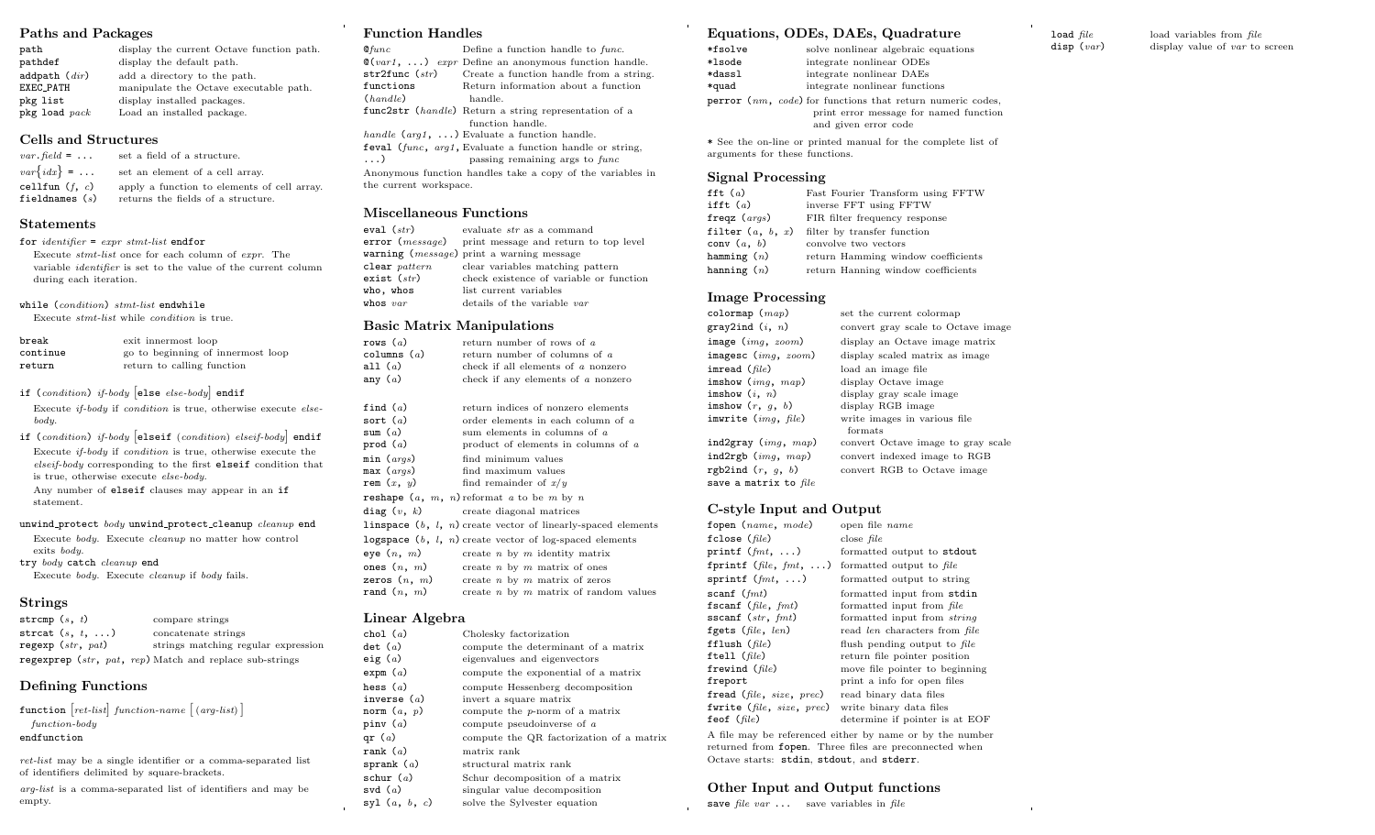## Paths and Packages

| path                | display the current Octave function path. |
|---------------------|-------------------------------------------|
| pathdef             | display the default path.                 |
| addpath $\it (dir)$ | add a directory to the path.              |
| EXEC_PATH           | manipulate the Octave executable path.    |
| pkg list            | display installed packages.               |
| $pkg$ load $pack$   | Load an installed package.                |

## Cells and Structures

| $var$ . field = $\dots$              | set a field of a structure.                                                       |
|--------------------------------------|-----------------------------------------------------------------------------------|
| $var\{idx\}$ =                       | set an element of a cell array.                                                   |
| cellfun $(f, c)$<br>fieldnames $(s)$ | apply a function to elements of cell array.<br>returns the fields of a structure. |

## Statements

#### for *identifier* =  $expr$  stmt-list endfor

Execute stmt-list once for each column of expr. The variable identifier is set to the value of the current column during each iteration.

#### while (condition) stmt-list endwhile

Execute stmt-list while condition is true.

| break    | exit innermost loop               |
|----------|-----------------------------------|
| continue | go to beginning of innermost loop |
| return   | return to calling function        |

## if (condition) if-body else else-body endif

Execute if-body if condition is true, otherwise execute elsebody.

if (condition) if-body elseif (condition) elseif-body endif Execute if-body if condition is true, otherwise execute the elseif-body corresponding to the first elseif condition that is true, otherwise execute else-body.

Any number of elseif clauses may appear in an if statement.

#### unwind protect body unwind protect cleanup cleanup end

Execute body. Execute cleanup no matter how control exits body.

try body catch cleanup end

Execute body. Execute cleanup if body fails.

## Strings

| stromp $(s, t)$         | compare strings                                                |
|-------------------------|----------------------------------------------------------------|
| strcat $(s, t, \ldots)$ | concatenate strings                                            |
| regexp $(str, pat)$     | strings matching regular expression                            |
|                         | <b>regexprep</b> (str, pat, rep) Match and replace sub-strings |

# Defining Functions

| function $[ret-list] function-name [(arg-list)]$                                                                                                                                                                                    |  |  |                                                               |  |
|-------------------------------------------------------------------------------------------------------------------------------------------------------------------------------------------------------------------------------------|--|--|---------------------------------------------------------------|--|
| $function$ -body                                                                                                                                                                                                                    |  |  |                                                               |  |
| endfunction                                                                                                                                                                                                                         |  |  |                                                               |  |
| $\overline{a}$ . The contract contract of the contract of the contract of the contract of the contract of the contract of the contract of the contract of the contract of the contract of the contract of the contract of the contr |  |  | ret-list may be a single identifier or a comma-separated list |  |

of identifiers delimited by square-brackets. arg-list is a comma-separated list of identifiers and may be

```
empty.
```
## Function Handles

| $Q$ func               | Define a function handle to func.                                               |
|------------------------|---------------------------------------------------------------------------------|
|                        | $\mathcal{Q}(var1, \ldots)$ expr Define an anonymous function handle.           |
|                        | str2func $(str)$ Create a function handle from a string.                        |
| functions              | Return information about a function                                             |
| (handle)               | handle.                                                                         |
|                        | func2str (handle) Return a string representation of a                           |
|                        | function handle.                                                                |
|                        | handle $(arg1, \ldots)$ Evaluate a function handle.                             |
|                        | feval $(\text{func}, \text{arg1}, \text{Evaluate a function handle or string})$ |
| $\ldots$               | passing remaining args to func                                                  |
|                        | Anonymous function handles take a copy of the variables in                      |
| the current workspace. |                                                                                 |
|                        |                                                                                 |

## Miscellaneous Functions

| eval ( $str)$             | evaluate <i>str</i> as a command                        |
|---------------------------|---------------------------------------------------------|
|                           | $error (message)$ print message and return to top level |
|                           | warning $(message)$ print a warning message             |
| $\texttt{clear}\ pattern$ | clear variables matching pattern                        |
| exist $(\mathit{str})$    | check existence of variable or function                 |
| who, whos                 | list current variables                                  |
| whos $var$                | details of the variable var                             |
|                           |                                                         |

# Basic Matrix Manipulati

|                                                       | Basic Matrix Manipulations                                                                                                                          |
|-------------------------------------------------------|-----------------------------------------------------------------------------------------------------------------------------------------------------|
| rows $(a)$<br>columns $(a)$<br>all $(a)$<br>any $(a)$ | return number of rows of a<br>return number of columns of a<br>check if all elements of a nonzero<br>check if any elements of $a$ nonzero           |
| find $(a)$<br>sort $(a)$<br>sum $(a)$<br>prod $(a)$   | return indices of nonzero elements<br>order elements in each column of a<br>sum elements in columns of $a$<br>product of elements in columns of $a$ |
| min (args)<br>max $(args)$<br>rem $(x, y)$            | find minimum values<br>find maximum values<br>find remainder of $x/y$                                                                               |
|                                                       | <b>reshape</b> $(a, m, n)$ reformat a to be m by n<br>$diag(v, k)$ create diagonal matrices                                                         |
|                                                       | linspace $(b, l, n)$ create vector of linearly-spaced elements<br>logspace $(b, l, n)$ create vector of log-spaced elements                         |
| eye $(n, m)$<br>zeros $(n, m)$                        | create $n$ by $m$ identity matrix<br>ones $(n, m)$ create <i>n</i> by <i>m</i> matrix of ones<br>create <i>n</i> by <i>m</i> matrix of zeros        |

rand  $(n, m)$  create n by m matrix of random values

## Linear Algebra

| chol $(a)$      | Cholesky factorization                   |
|-----------------|------------------------------------------|
|                 |                                          |
| det(a)          | compute the determinant of a matrix      |
| eig $(a)$       | eigenvalues and eigenvectors             |
| expm(a)         | compute the exponential of a matrix      |
| hess $(a)$      | compute Hessenberg decomposition         |
| inverse $(a)$   | invert a square matrix                   |
| norm $(a, p)$   | compute the $p$ -norm of a matrix        |
| piny $(a)$      | compute pseudoinverse of $a$             |
| qr $(a)$        | compute the QR factorization of a matrix |
| rank $(a)$      | matrix rank                              |
| sprank $(a)$    | structural matrix rank                   |
| schur $(a)$     | Schur decomposition of a matrix          |
| svd $(a)$       | singular value decomposition             |
| syl $(a, b, c)$ | solve the Sylvester equation             |

## Equations, ODEs, DAEs, Quadrature

| *fsolve                                                                                        | solve nonlinear algebraic equations                                                                                                   |
|------------------------------------------------------------------------------------------------|---------------------------------------------------------------------------------------------------------------------------------------|
| *lsode                                                                                         | integrate nonlinear ODEs                                                                                                              |
| *dassl                                                                                         | integrate nonlinear DAEs                                                                                                              |
| *quad                                                                                          | integrate nonlinear functions                                                                                                         |
|                                                                                                | <b>perror</b> $(nm, code)$ for functions that return numeric codes,<br>print error message for named function<br>and given error code |
| * See the on-line or printed manual for the complete list of<br>arguments for these functions. |                                                                                                                                       |

# Signal Processing

| fft $(a)$          | Fast Fourier Transform using FFTW  |
|--------------------|------------------------------------|
| ifft $(a)$         | inverse FFT using FFTW             |
| freqz $(args)$     | FIR filter frequency response      |
| filter $(a, b, x)$ | filter by transfer function        |
| conv $(a, b)$      | convolve two vectors               |
| hamming $(n)$      | return Hamming window coefficients |
| hanning $(n)$      | return Hanning window coefficients |

## Image Processing

| colormap $(map)$        | set the current colormap           |
|-------------------------|------------------------------------|
| gray2ind $(i, n)$       | convert gray scale to Octave image |
| image $(imq, zoom)$     | display an Octave image matrix     |
| imagesc $(imq, zoom)$   | display scaled matrix as image     |
| imread $(\text{file})$  | load an image file                 |
| imshow $(imq, map)$     | display Octave image               |
| imshow $(i, n)$         | display gray scale image           |
| imshow $(r, q, b)$      | display RGB image                  |
| imwrite $(img, file)$   | write images in various file       |
|                         | formats                            |
| ind2gray $(imq, map)$   | convert Octave image to gray scale |
| ind2rgb $(imq, map)$    | convert indexed image to RGB       |
| rgb2ind $(r, q, b)$     | convert RGB to Octave image        |
| save a matrix to $file$ |                                    |

# C-style Input and Output

| fopen (name, mode)        | open file <i>name</i>                                    |
|---------------------------|----------------------------------------------------------|
| fclose $(\text{file})$    | close <i>file</i>                                        |
| printf $(fmt, \ldots)$    | formatted output to stdout                               |
| fprintf (file, $fmt$ , )  | formatted output to file                                 |
| sprintf $(fmt, \ldots)$   | formatted output to string                               |
| scanf $(fmt)$             | formatted input from stdin                               |
| fscanf ( $file, fmt$ )    | formatted input from file                                |
| sscanf $(str, fmt)$       | formatted input from <i>string</i>                       |
| fgets $(file, len)$       | read len characters from file                            |
| fflush $file)$            | flush pending output to file                             |
| ftell $(\text{file})$     | return file pointer position                             |
| frewind $(file)$          | move file pointer to beginning                           |
| freport                   | print a info for open files                              |
| fread (file, size, prec)  | read binary data files                                   |
| fwrite (file, size, prec) | write binary data files                                  |
| feof $(file)$             | determine if pointer is at EOF                           |
|                           | A file may be referenced either by name or by the number |

by the number returned from fopen. Three files are preconnected when Octave starts: stdin, stdout, and stderr.

## Other Input and Output functions

save file var  $\dots$  save variables in file

**load**  $file$  load variables from  $file$ <br>**disp**  $(var)$  display value of  $var$  to display value of  $var$  to screen